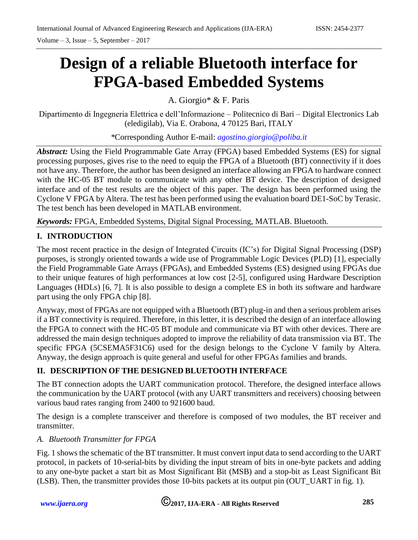Volume – 3, Issue – 5, September – 2017

# **Design of a reliable Bluetooth interface for FPGA-based Embedded Systems**

A. Giorgio\* & F. Paris

Dipartimento di Ingegneria Elettrica e dell'Informazione – Politecnico di Bari – Digital Electronics Lab (eledigilab), Via E. Orabona, 4 70125 Bari, ITALY

*\**Corresponding Author E-mail: *[agostino.giorgio@poliba.it](mailto:agostino.giorgio@poliba.it)*

*Abstract:* Using the Field Programmable Gate Array (FPGA) based Embedded Systems (ES) for signal processing purposes, gives rise to the need to equip the FPGA of a Bluetooth (BT) connectivity if it does not have any. Therefore, the author has been designed an interface allowing an FPGA to hardware connect with the HC-05 BT module to communicate with any other BT device. The description of designed interface and of the test results are the object of this paper. The design has been performed using the Cyclone V FPGA by Altera. The test has been performed using the evaluation board DE1-SoC by Terasic. The test bench has been developed in MATLAB environment.

*Keywords:* FPGA, Embedded Systems, Digital Signal Processing, MATLAB. Bluetooth.

# **I. INTRODUCTION**

The most recent practice in the design of Integrated Circuits (IC's) for Digital Signal Processing (DSP) purposes, is strongly oriented towards a wide use of Programmable Logic Devices (PLD) [1], especially the Field Programmable Gate Arrays (FPGAs), and Embedded Systems (ES) designed using FPGAs due to their unique features of high performances at low cost [2-5], configured using Hardware Description Languages (HDLs) [6, 7]. It is also possible to design a complete ES in both its software and hardware part using the only FPGA chip [8].

Anyway, most of FPGAs are not equipped with a Bluetooth (BT) plug-in and then a serious problem arises if a BT connectivity is required. Therefore, in this letter, it is described the design of an interface allowing the FPGA to connect with the HC-05 BT module and communicate via BT with other devices. There are addressed the main design techniques adopted to improve the reliability of data transmission via BT. The specific FPGA (5CSEMA5F31C6) used for the design belongs to the Cyclone V family by Altera. Anyway, the design approach is quite general and useful for other FPGAs families and brands.

# **II. DESCRIPTION OF THE DESIGNED BLUETOOTH INTERFACE**

The BT connection adopts the UART communication protocol. Therefore, the designed interface allows the communication by the UART protocol (with any UART transmitters and receivers) choosing between various baud rates ranging from 2400 to 921600 baud.

The design is a complete transceiver and therefore is composed of two modules, the BT receiver and transmitter.

## *A. Bluetooth Transmitter for FPGA*

Fig. 1 shows the schematic of the BT transmitter. It must convert input data to send according to the UART protocol, in packets of 10-serial-bits by dividing the input stream of bits in one-byte packets and adding to any one-byte packet a start bit as Most Significant Bit (MSB) and a stop-bit as Least Significant Bit (LSB). Then, the transmitter provides those 10-bits packets at its output pin (OUT\_UART in fig. 1).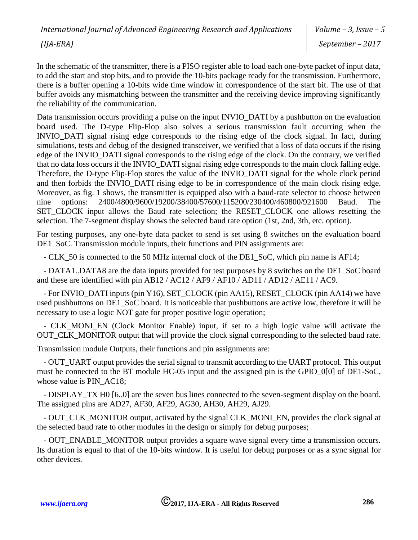*Volume – 3, Issue – 5 September – 2017*

In the schematic of the transmitter, there is a PISO register able to load each one-byte packet of input data, to add the start and stop bits, and to provide the 10-bits package ready for the transmission. Furthermore, there is a buffer opening a 10-bits wide time window in correspondence of the start bit. The use of that buffer avoids any mismatching between the transmitter and the receiving device improving significantly the reliability of the communication.

Data transmission occurs providing a pulse on the input INVIO\_DATI by a pushbutton on the evaluation board used. The D-type Flip-Flop also solves a serious transmission fault occurring when the INVIO\_DATI signal rising edge corresponds to the rising edge of the clock signal. In fact, during simulations, tests and debug of the designed transceiver, we verified that a loss of data occurs if the rising edge of the INVIO\_DATI signal corresponds to the rising edge of the clock. On the contrary, we verified that no data loss occurs if the INVIO\_DATI signal rising edge corresponds to the main clock falling edge. Therefore, the D-type Flip-Flop stores the value of the INVIO\_DATI signal for the whole clock period and then forbids the INVIO\_DATI rising edge to be in correspondence of the main clock rising edge. Moreover, as fig. 1 shows, the transmitter is equipped also with a baud-rate selector to choose between nine options: 2400/4800/9600/19200/38400/57600/115200/230400/460800/921600 Baud. The SET CLOCK input allows the Baud rate selection; the RESET CLOCK one allows resetting the selection. The 7-segment display shows the selected baud rate option (1st, 2nd, 3th, etc. option).

For testing purposes, any one-byte data packet to send is set using 8 switches on the evaluation board DE1\_SoC. Transmission module inputs, their functions and PIN assignments are:

- CLK\_50 is connected to the 50 MHz internal clock of the DE1\_SoC, which pin name is AF14;

- DATA1..DATA8 are the data inputs provided for test purposes by 8 switches on the DE1\_SoC board and these are identified with pin AB12 / AC12 / AF9 / AF10 / AD11 / AD12 / AE11 / AC9.

- For INVIO\_DATI inputs (pin Y16), SET\_CLOCK (pin AA15), RESET\_CLOCK (pin AA14) we have used pushbuttons on DE1\_SoC board. It is noticeable that pushbuttons are active low, therefore it will be necessary to use a logic NOT gate for proper positive logic operation;

- CLK MONI EN (Clock Monitor Enable) input, if set to a high logic value will activate the OUT\_CLK\_MONITOR output that will provide the clock signal corresponding to the selected baud rate.

Transmission module Outputs, their functions and pin assignments are:

- OUT\_UART output provides the serial signal to transmit according to the UART protocol. This output must be connected to the BT module HC-05 input and the assigned pin is the GPIO\_0[0] of DE1-SoC, whose value is PIN\_AC18;

- DISPLAY TX H0 [6..0] are the seven bus lines connected to the seven-segment display on the board. The assigned pins are AD27, AF30, AF29, AG30, AH30, AH29, AJ29.

- OUT\_CLK\_MONITOR output, activated by the signal CLK\_MONI\_EN, provides the clock signal at the selected baud rate to other modules in the design or simply for debug purposes;

- OUT\_ENABLE\_MONITOR output provides a square wave signal every time a transmission occurs. Its duration is equal to that of the 10-bits window. It is useful for debug purposes or as a sync signal for other devices.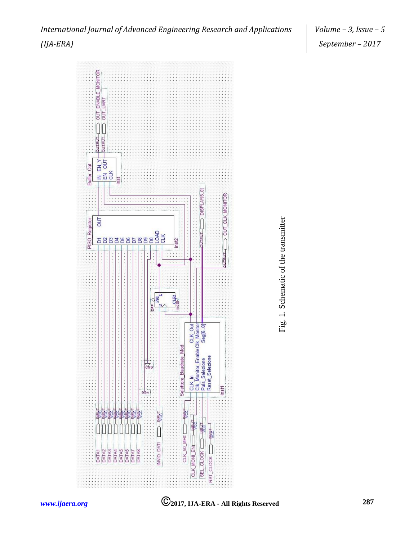*International Journal of Advanced Engineering Research and Applications (IJA-ERA)*





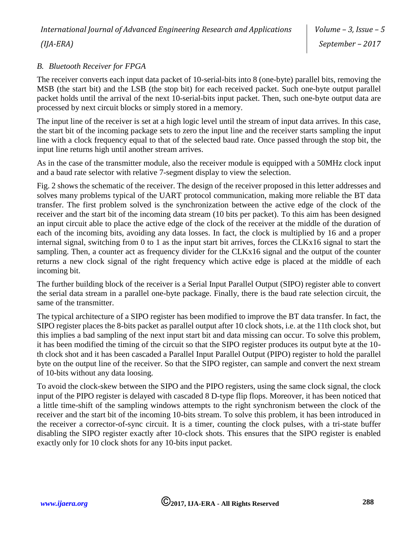#### *B. Bluetooth Receiver for FPGA*

The receiver converts each input data packet of 10-serial-bits into 8 (one-byte) parallel bits, removing the MSB (the start bit) and the LSB (the stop bit) for each received packet. Such one-byte output parallel packet holds until the arrival of the next 10-serial-bits input packet. Then, such one-byte output data are processed by next circuit blocks or simply stored in a memory.

The input line of the receiver is set at a high logic level until the stream of input data arrives. In this case, the start bit of the incoming package sets to zero the input line and the receiver starts sampling the input line with a clock frequency equal to that of the selected baud rate. Once passed through the stop bit, the input line returns high until another stream arrives.

As in the case of the transmitter module, also the receiver module is equipped with a 50MHz clock input and a baud rate selector with relative 7-segment display to view the selection.

Fig. 2 shows the schematic of the receiver. The design of the receiver proposed in this letter addresses and solves many problems typical of the UART protocol communication, making more reliable the BT data transfer. The first problem solved is the synchronization between the active edge of the clock of the receiver and the start bit of the incoming data stream (10 bits per packet). To this aim has been designed an input circuit able to place the active edge of the clock of the receiver at the middle of the duration of each of the incoming bits, avoiding any data losses. In fact, the clock is multiplied by 16 and a proper internal signal, switching from 0 to 1 as the input start bit arrives, forces the CLKx16 signal to start the sampling. Then, a counter act as frequency divider for the CLKx16 signal and the output of the counter returns a new clock signal of the right frequency which active edge is placed at the middle of each incoming bit.

The further building block of the receiver is a Serial Input Parallel Output (SIPO) register able to convert the serial data stream in a parallel one-byte package. Finally, there is the baud rate selection circuit, the same of the transmitter.

The typical architecture of a SIPO register has been modified to improve the BT data transfer. In fact, the SIPO register places the 8-bits packet as parallel output after 10 clock shots, i.e. at the 11th clock shot, but this implies a bad sampling of the next input start bit and data missing can occur. To solve this problem, it has been modified the timing of the circuit so that the SIPO register produces its output byte at the 10 th clock shot and it has been cascaded a Parallel Input Parallel Output (PIPO) register to hold the parallel byte on the output line of the receiver. So that the SIPO register, can sample and convert the next stream of 10-bits without any data loosing.

To avoid the clock-skew between the SIPO and the PIPO registers, using the same clock signal, the clock input of the PIPO register is delayed with cascaded 8 D-type flip flops. Moreover, it has been noticed that a little time-shift of the sampling windows attempts to the right synchronism between the clock of the receiver and the start bit of the incoming 10-bits stream. To solve this problem, it has been introduced in the receiver a corrector-of-sync circuit. It is a timer, counting the clock pulses, with a tri-state buffer disabling the SIPO register exactly after 10-clock shots. This ensures that the SIPO register is enabled exactly only for 10 clock shots for any 10-bits input packet.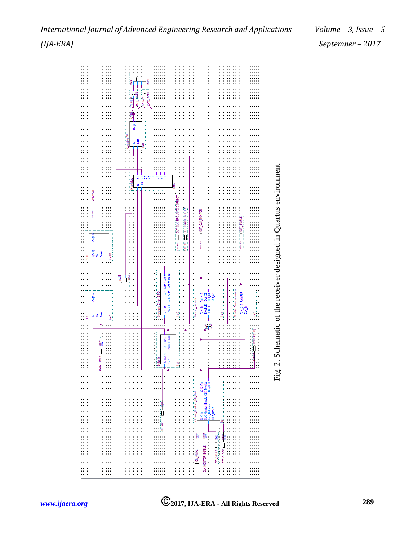



# *International Journal of Advanced Engineering Research and Applications (IJA-ERA)*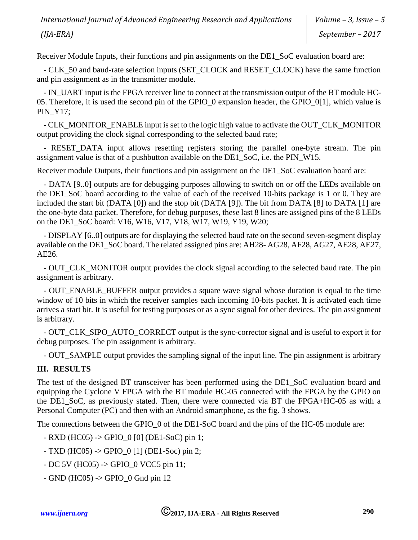*International Journal of Advanced Engineering Research and Applications (IJA-ERA)*

Receiver Module Inputs, their functions and pin assignments on the DE1\_SoC evaluation board are:

- CLK 50 and baud-rate selection inputs (SET\_CLOCK and RESET\_CLOCK) have the same function and pin assignment as in the transmitter module.

- IN\_UART input is the FPGA receiver line to connect at the transmission output of the BT module HC-05. Therefore, it is used the second pin of the GPIO 0 expansion header, the GPIO 0[1], which value is PIN\_Y17;

- CLK\_MONITOR\_ENABLE input is set to the logic high value to activate the OUT\_CLK\_MONITOR output providing the clock signal corresponding to the selected baud rate;

- RESET\_DATA input allows resetting registers storing the parallel one-byte stream. The pin assignment value is that of a pushbutton available on the DE1\_SoC, i.e. the PIN\_W15.

Receiver module Outputs, their functions and pin assignment on the DE1\_SoC evaluation board are:

- DATA [9..0] outputs are for debugging purposes allowing to switch on or off the LEDs available on the DE1 SoC board according to the value of each of the received 10-bits package is 1 or 0. They are included the start bit (DATA [0]) and the stop bit (DATA [9]). The bit from DATA [8] to DATA [1] are the one-byte data packet. Therefore, for debug purposes, these last 8 lines are assigned pins of the 8 LEDs on the DE1\_SoC board: V16, W16, V17, V18, W17, W19, Y19, W20;

- DISPLAY [6..0] outputs are for displaying the selected baud rate on the second seven-segment display available on the DE1\_SoC board. The related assigned pins are: AH28- AG28, AF28, AG27, AE28, AE27, AE26.

- OUT\_CLK\_MONITOR output provides the clock signal according to the selected baud rate. The pin assignment is arbitrary.

- OUT\_ENABLE\_BUFFER output provides a square wave signal whose duration is equal to the time window of 10 bits in which the receiver samples each incoming 10-bits packet. It is activated each time arrives a start bit. It is useful for testing purposes or as a sync signal for other devices. The pin assignment is arbitrary.

- OUT\_CLK\_SIPO\_AUTO\_CORRECT output is the sync-corrector signal and is useful to export it for debug purposes. The pin assignment is arbitrary.

- OUT\_SAMPLE output provides the sampling signal of the input line. The pin assignment is arbitrary

## **III. RESULTS**

The test of the designed BT transceiver has been performed using the DE1\_SoC evaluation board and equipping the Cyclone V FPGA with the BT module HC-05 connected with the FPGA by the GPIO on the DE1\_SoC, as previously stated. Then, there were connected via BT the FPGA+HC-05 as with a Personal Computer (PC) and then with an Android smartphone, as the fig. 3 shows.

The connections between the GPIO\_0 of the DE1-SoC board and the pins of the HC-05 module are:

- RXD (HC05) -> GPIO\_0 [0] (DE1-SoC) pin 1;
- $-$  TXD (HC05)  $\rightarrow$  GPIO 0 [1] (DE1-Soc) pin 2;
- DC 5V (HC05) -> GPIO\_0 VCC5 pin 11;
- $-$  GND (HC05)  $\rightarrow$  GPIO 0 Gnd pin 12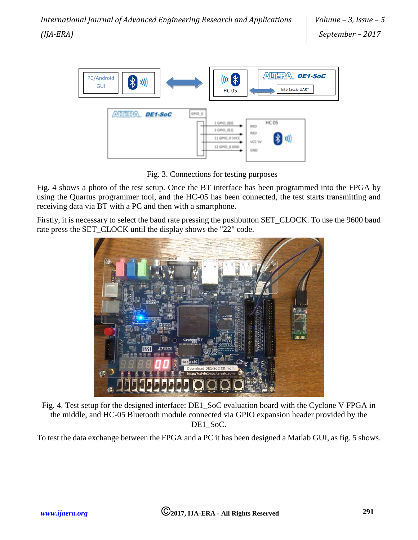

Fig. 3. Connections for testing purposes

Fig. 4 shows a photo of the test setup. Once the BT interface has been programmed into the FPGA by using the Quartus programmer tool, and the HC-05 has been connected, the test starts transmitting and receiving data via BT with a PC and then with a smartphone.

Firstly, it is necessary to select the baud rate pressing the pushbutton SET\_CLOCK. To use the 9600 baud rate press the SET\_CLOCK until the display shows the "22" code.



Fig. 4. Test setup for the designed interface: DE1\_SoC evaluation board with the Cyclone V FPGA in the middle, and HC-05 Bluetooth module connected via GPIO expansion header provided by the DE1\_SoC.

To test the data exchange between the FPGA and a PC it has been designed a Matlab GUI, as fig. 5 shows.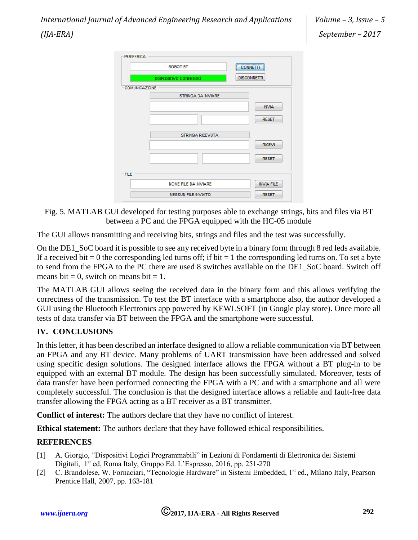| <b>ROBOT BT</b>      |                            | <br><b>CONNETTI</b> |
|----------------------|----------------------------|---------------------|
|                      | DISPOSITIVO CONNESSO       | <b>DISCONNETTI</b>  |
| <b>COMUNICAZIONE</b> |                            |                     |
|                      | <b>STRINGA DA INVIARE</b>  |                     |
|                      |                            | <b>INVIA</b>        |
|                      |                            |                     |
|                      |                            | <b>RESET</b>        |
|                      | <b>STRINGA RICEVUTA</b>    |                     |
|                      |                            |                     |
|                      |                            | <b>RICEVI</b>       |
|                      |                            | <b>RESET</b>        |
|                      |                            |                     |
| <b>FILE</b>          |                            |                     |
|                      | NOME FILE DA INVIARE       | <b>INVIA FILE</b>   |
|                      | <b>NESSUN FILE INVIATO</b> | <b>RESET</b>        |

Fig. 5. MATLAB GUI developed for testing purposes able to exchange strings, bits and files via BT between a PC and the FPGA equipped with the HC-05 module

The GUI allows transmitting and receiving bits, strings and files and the test was successfully.

On the DE1 SoC board it is possible to see any received byte in a binary form through 8 red leds available. If a received bit  $= 0$  the corresponding led turns off; if bit  $= 1$  the corresponding led turns on. To set a byte to send from the FPGA to the PC there are used 8 switches available on the DE1\_SoC board. Switch off means bit = 0, switch on means bit = 1.

The MATLAB GUI allows seeing the received data in the binary form and this allows verifying the correctness of the transmission. To test the BT interface with a smartphone also, the author developed a GUI using the Bluetooth Electronics app powered by KEWLSOFT (in Google play store). Once more all tests of data transfer via BT between the FPGA and the smartphone were successful.

#### **IV. CONCLUSIONS**

In this letter, it has been described an interface designed to allow a reliable communication via BT between an FPGA and any BT device. Many problems of UART transmission have been addressed and solved using specific design solutions. The designed interface allows the FPGA without a BT plug-in to be equipped with an external BT module. The design has been successfully simulated. Moreover, tests of data transfer have been performed connecting the FPGA with a PC and with a smartphone and all were completely successful. The conclusion is that the designed interface allows a reliable and fault-free data transfer allowing the FPGA acting as a BT receiver as a BT transmitter.

**Conflict of interest:** The authors declare that they have no conflict of interest.

**Ethical statement:** The authors declare that they have followed ethical responsibilities.

#### **REFERENCES**

- [1] A. Giorgio, "Dispositivi Logici Programmabili" in Lezioni di Fondamenti di Elettronica dei Sistemi Digitali, 1<sup>st</sup> ed, Roma Italy, Gruppo Ed. L'Espresso, 2016, pp. 251-270
- [2] C. Brandolese, W. Fornaciari, "Tecnologie Hardware" in Sistemi Embedded, 1st ed., Milano Italy, Pearson Prentice Hall, 2007, pp. 163-181